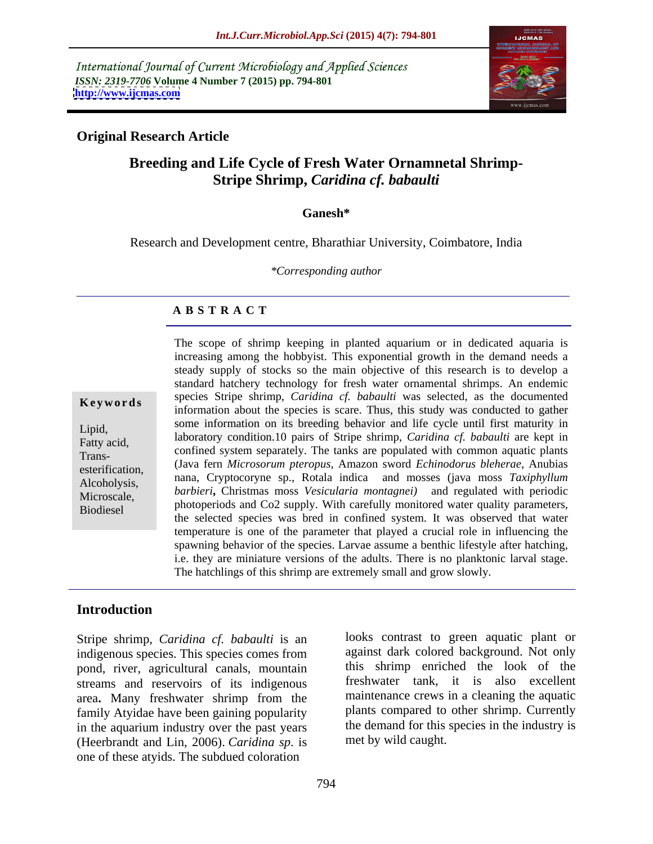International Journal of Current Microbiology and Applied Sciences *ISSN: 2319-7706* **Volume 4 Number 7 (2015) pp. 794-801 <http://www.ijcmas.com>**



### **Original Research Article**

# **Breeding and Life Cycle of Fresh Water Ornamnetal Shrimp- Stripe Shrimp,** *Caridina cf. babaulti*

#### **Ganesh\***

Research and Development centre, Bharathiar University, Coimbatore, India

*\*Corresponding author*

### **A B S T R A C T**

Biodiesel

The scope of shrimp keeping in planted aquarium or in dedicated aquaria is increasing among the hobbyist. This exponential growth in the demand needs a steady supply of stocks so the main objective of this research is to develop a standard hatchery technology for fresh water ornamental shrimps. An endemic species Stripe shrimp, *Caridina cf. babaulti* was selected, as the documented **Keywords** species supersuming, *Cariania CJ. babaani* was selected, as the documented information about the species is scare. Thus, this study was conducted to gather some information on its breeding behavior and life cycle until first maturity in Lipid,<br>
laboratory condition.10 pairs of Stripe shrimp, *Caridina cf. babaulti* are kept in Fatty acid,<br>
confined system separately. The tanks are populated with common aquatic plants (Java fern *Microsorum pteropus*, Amazon sword *Echinodorus bleherae*, Anubias esterification, which there is the *interostrum pieropus*, Amazon sword *Echinodorus bienerue*, Andoias<br>Alcoholysis anna, Cryptocoryne sp., Rotala indica and mosses (java moss *Taxiphyllum* Alcoholysis, hana, Cryptocoryne sp., Rotala indica and mosses gava moss *Taxiphytiam*<br>Microscale *barbieri*, Christmas moss *Vesicularia montagnei*) and regulated with periodic Microscale, *burbiert*, Christinas moss *vesicularia montagnet*) and regulated with periodic<br>Piodiosel photoperiods and Co2 supply. With carefully monitored water quality parameters, the selected species was bred in confined system. It was observed that water temperature is one of the parameter that played a crucial role in influencing the spawning behavior of the species. Larvae assume a benthic lifestyle after hatching, i.e. they are miniature versions of the adults. There is no planktonic larval stage. The hatchlings of this shrimp are extremely small and grow slowly. Trans-<br>Trans-<br>Trans-<br>Trans-<br>Trans-<br>Trans-<br>And Common System separately. The tanks are populated with common aquatic plants

#### **Introduction**

Stripe shrimp, *Caridina cf. babaulti* is an indigenous species. This species comes from pond, river, agricultural canals, mountain streams and reservoirs of its indigenous area**.** Many freshwater shrimp from the family Atyidae have been gaining popularity in the aquarium industry over the past years (Heerbrandt and Lin, 2006). *Caridina sp*. is one of these atyids. The subdued coloration

looks contrast to green aquatic plant or against dark colored background. Not only this shrimp enriched the look of the freshwater tank, it is also excellent maintenance crews in a cleaning the aquatic plants compared to other shrimp. Currently the demand for this species in the industry is met by wild caught.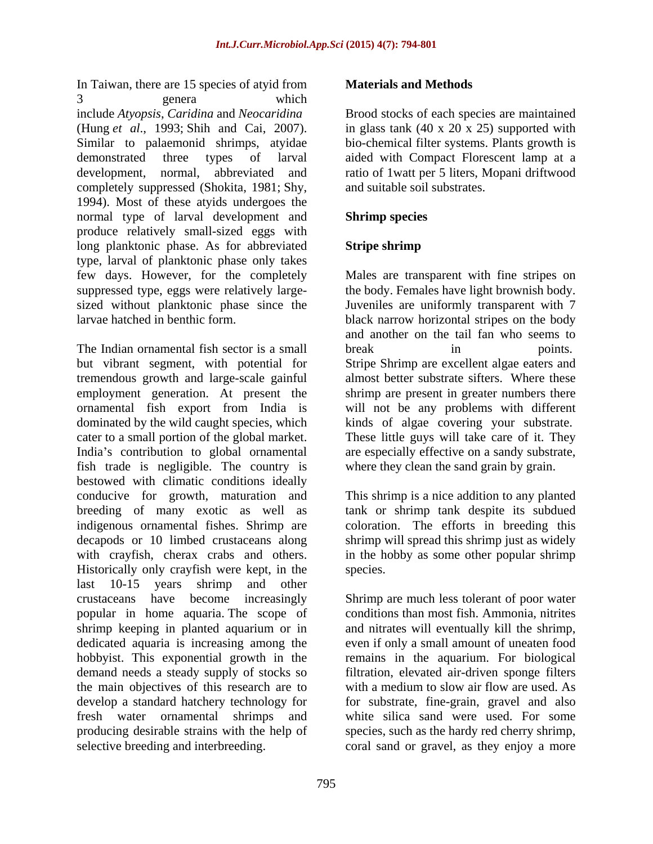In Taiwan, there are 15 species of atyid from **Materials and Methods** 3 genera which include *Atyopsis*, *Caridina* and *Neocaridina* Brood stocks of each species are maintained (Hung *et al*., 1993; Shih and Cai, 2007). in glass tank (40 x 20 x 25) supported with Similar to palaemonid shrimps, atyidae bio-chemical filter systems. Plants growth is demonstrated three types of larval aided with Compact Florescent lamp at a development, normal, abbreviated and completely suppressed (Shokita, 1981; Shy, 1994). Most of these atyids undergoes the normal type of larval development and **Shrimp species** produce relatively small-sized eggs with long planktonic phase. As for abbreviated Stripe shrimp type, larval of planktonic phase only takes few days. However, for the completely Males are transparent with fine stripes on suppressed type, eggs were relatively large- the body. Females have light brownish body. sized without planktonic phase since the Juveniles are uniformly transparent with 7

The Indian ornamental fish sector is a small but vibrant segment, with potential for Stripe Shrimp are excellent algae eaters and tremendous growth and large-scale gainful employment generation. At present the shrimp are present in greater numbers there ornamental fish export from India is will not be any problems with different dominated by the wild caught species, which kinds of algae covering your substrate.<br>
cater to a small portion of the global market. These little guys will take care of it. They India's contribution to global ornamental are especially effective on a sandy substrate, fish trade is negligible. The country is bestowed with climatic conditions ideally conducive for growth, maturation and This shrimp is a nice addition to any planted breeding of many exotic as well as tank or shrimp tank despite its subdued indigenous ornamental fishes. Shrimp are decapods or 10 limbed crustaceans along shrimp will spread this shrimp just as widely with crayfish, cherax crabs and others. in the hobby as some other popular shrimp Historically only crayfish were kept, in the last 10-15 years shrimp and other crustaceans have become increasingly Shrimp are much less tolerant of poor water popular in home aquaria. The scope of shrimp keeping in planted aquarium or in and nitrates will eventually kill the shrimp, dedicated aquaria is increasing among the even if only a small amount of uneaten food hobbyist. This exponential growth in the demand needs a steady supply of stocks so filtration, elevated air-driven sponge filters the main objectives of this research are to develop a standard hatchery technology for fresh water ornamental shrimps and white silica sand were used. For some producing desirable strains with the help of species, such as the hardy red cherry shrimp, selective breeding and interbreeding. coral sand or gravel, as they enjoy a more

### **Materials and Methods**

ratio of 1watt per 5 liters, Mopani driftwood and suitable soil substrates.

## **Shrimp species**

### **Stripe shrimp**

larvae hatched in benthic form. black narrow horizontal stripes on the body These little guys will take care of it. They and another on the tail fan who seems to break in points. almost better substrate sifters. Where these kinds of algae covering your substrate.These little guys will take care of it. They where they clean the sand grain by grain.

> coloration. The efforts in breeding this species.

conditions than most fish. Ammonia, nitrites remains in the aquarium. For biological with a medium to slow air flow are used. As for substrate, fine-grain, gravel and also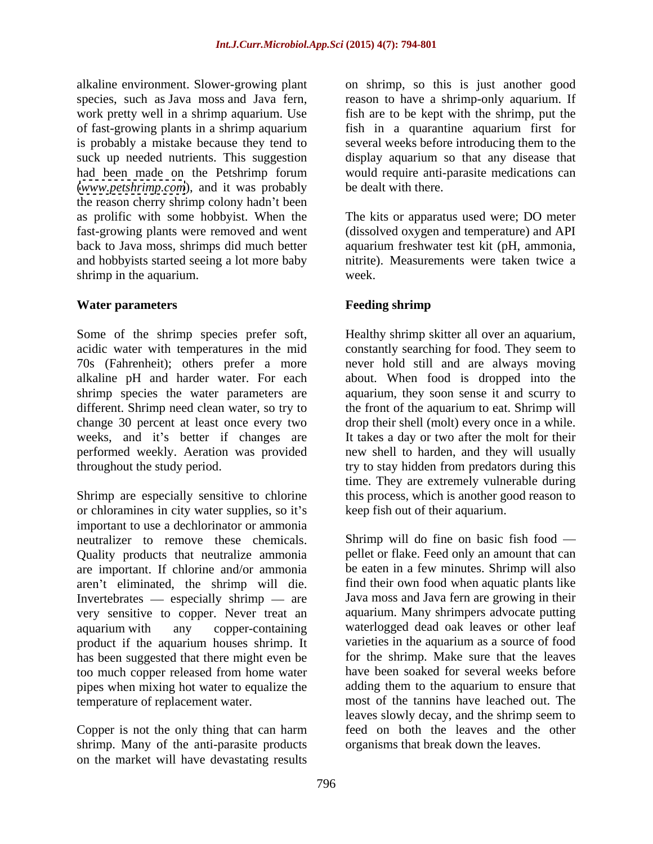alkaline environment. Slower-growing plant on shrimp, so this is just another good species, such as Java moss and Java fern, reason to have a shrimp-only aquarium. If work pretty well in a shrimp aquarium. Use of fast-growing plants in a shrimp aquarium fish in a quarantine aquarium first for is probably a mistake because they tend to several weeks before introducing them to the suck up needed nutrients. This suggestion had been made on the Petshrimp forum would require anti-parasite medications can (*[www.petshrimp.com](http://www.petshrimp.com)*), and it was probably the reason cherry shrimp colony hadn't been as prolific with some hobbyist. When the The kits or apparatus used were; DO meter fast-growing plants were removed and went (dissolved oxygen and temperature) and API back to Java moss, shrimps did much better aquarium freshwater test kit (pH, ammonia, and hobbyists started seeing a lot more baby shrimp in the aquarium. Week.

### **Water parameters Example 3 Example 3 Example 3 Example 3 Example 3 Example 3 EXAMPLE 3 EXAMPLE 3 EXAMPLE 3 EXAMPLE 3 EXAMPLE 3 EXAMPLE 3 EXAMPLE 3 EXAMPLE 3 EXAMPLE 3 EXAMPLE 3 EXAMPLE 3**

Some of the shrimp species prefer soft, Healthy shrimp skitter all over an aquarium, acidic water with temperatures in the mid constantly searching for food. They seem to 70s (Fahrenheit); others prefer a more never hold still and are always moving alkaline pH and harder water. For each about. When food is dropped into the shrimp species the water parameters are aquarium, they soon sense it and scurry to different. Shrimp need clean water, so try to the front of the aquarium to eat. Shrimp will change 30 percent at least once every two drop their shell (molt) every once in a while. weeks, and it's better if changes are It takes a day or two after the molt for their performed weekly. Aeration was provided new shell to harden, and they will usually throughout the study period. try to stay hidden from predators during this

Shrimp are especially sensitive to chlorine this process, which is another good reason to or chloramines in city water supplies, so it's important to use a dechlorinator or ammonia neutralizer to remove these chemicals. Shrimp will do fine on basic fish food Quality products that neutralize ammonia are important. If chlorine and/or ammonia aren't eliminated, the shrimp will die. Invertebrates  $-$  especially shrimp  $-$  are very sensitive to copper. Never treat an aquarium with any copper-containing waterlogged dead oak leaves or other leaf product if the aquarium houses shrimp. It has been suggested that there might even be for the shrimp. Make sure that the leaves too much copper released from home water pipes when mixing hot water to equalize the temperature of replacement water. most of the tannins have leached out. The

shrimp. Many of the anti-parasite products on the market will have devastating results

fish are to be kept with the shrimp, put the display aquarium so that any disease that be dealt with there.

nitrite). Measurements were taken twice a week.

# **Feeding shrimp**

time. They are extremely vulnerable during keep fish out of their aquarium.

Copper is not the only thing that can harm feed on both the leaves and the other pellet or flake. Feed only an amount that can be eaten in a few minutes. Shrimp will also find their own food when aquatic plants like Java moss and Java fern are growing in their aquarium. Many shrimpers advocate putting varieties in the aquarium as a source of food have been soaked for several weeks before adding them to the aquarium to ensure that leaves slowly decay, and the shrimp seem to organisms that break down the leaves.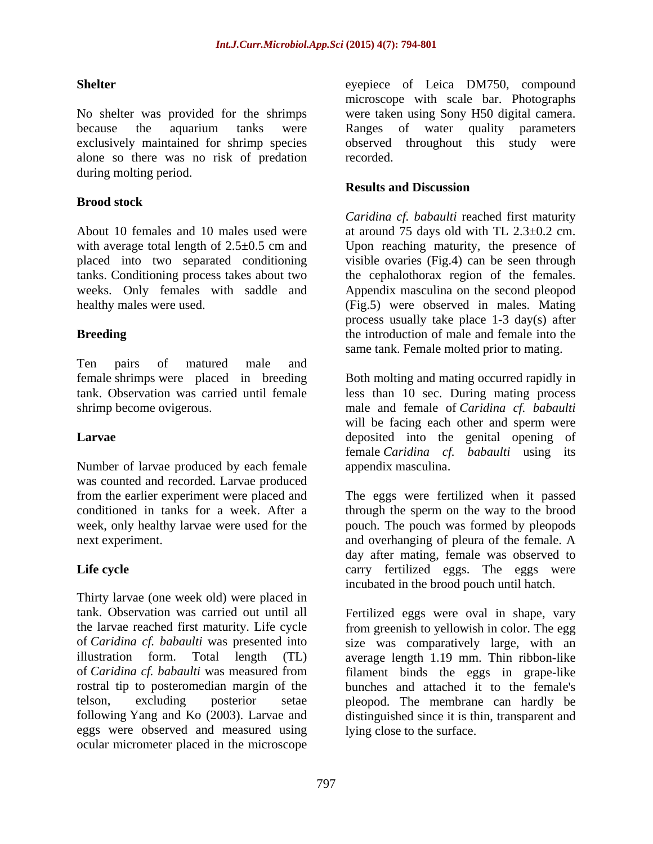No shelter was provided for the shrimps were taken using Sony H50 digital camera. because the aquarium tanks were Ranges of water quality parameters exclusively maintained for shrimp species observed throughout this study were alone so there was no risk of predation during molting period.

### **Brood stock**

About 10 females and 10 males used were at around 75 days old with TL 2.3±0.2 cm. with average total length of 2.5 $\pm$ 0.5 cm and Upon reaching maturity, the presence of placed into two separated conditioning tanks. Conditioning process takes about two the cephalothorax region of the females. weeks. Only females with saddle and Appendix masculina on the second pleopod

Ten pairs of matured male and female shrimps were placed in breeding

Number of larvae produced by each female was counted and recorded. Larvae produced

Thirty larvae (one week old) were placed in tank. Observation was carried out until all Fertilized eggs were oval in shape, vary the larvae reached first maturity. Life cycle from greenish to yellowish in color. The egg of *Caridina cf. babaulti* was presented into size was comparatively large, with an illustration form. Total length (TL) average length 1.19 mm. Thin ribbon-like of *Caridina cf. babaulti* was measured from filament binds the eggs in grape-like rostral tip to posteromedian margin of the bunches and attached it to the female's telson, excluding posterior setae pleopod. The membrane can hardly be following Yang and Ko (2003). Larvae and distinguished since it is thin, transparent and eggs were observed and measured using ocular micrometer placed in the microscope

**Shelter** eyepiece of Leica DM750, compound microscope with scale bar. Photographs Ranges of water quality parameters recorded.

#### **Results and Discussion**

healthy males were used. (Fig.5) were observed in males. Mating **Breeding** the introduction of male and female into the *Caridina cf. babaulti* reached first maturity visible ovaries (Fig.4) can be seen through process usually take place 1-3 day(s) after same tank. Female molted prior to mating.

tank. Observation was carried until female less than 10 sec. During mating process shrimp become ovigerous. male and female of *Caridina cf. babaulti* **Larvae** deposited into the genital opening of Both molting and mating occurred rapidly in will be facing each other and sperm were female *Caridina cf. babaulti* using its appendix masculina.

from the earlier experiment were placed and The eggs were fertilized when it passed conditioned in tanks for a week. After a through the sperm on the way to the brood week, only healthy larvae were used for the pouch. The pouch was formed by pleopods next experiment. and overhanging of pleura of the female. A Life cycle **Carry Contact Example 2** carry fertilized eggs. The eggs were day after mating, female was observed to incubated in the brood pouch until hatch.

lying close to the surface.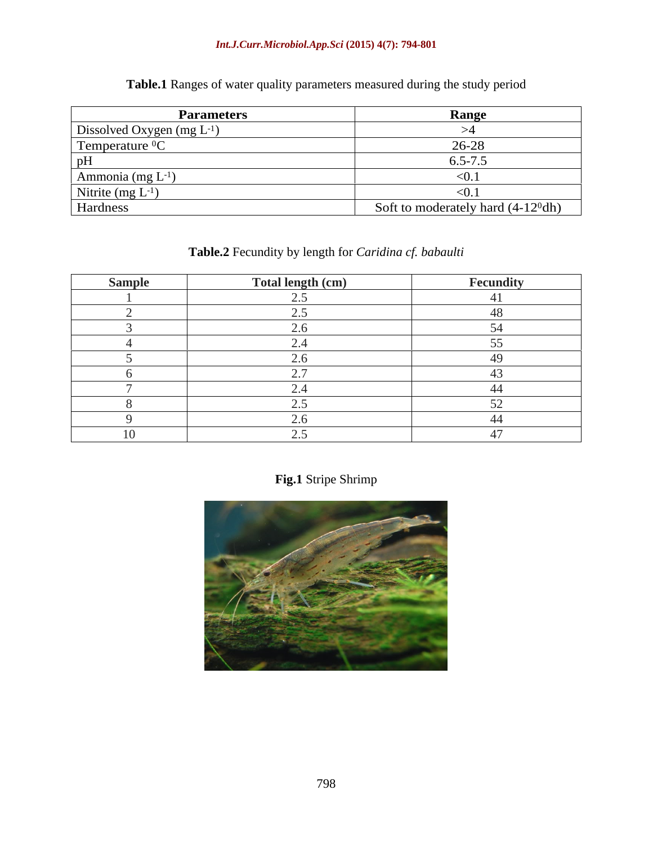### *Int.J.Curr.Microbiol.App.Sci* **(2015) 4(7): 794-801**

| <b>Parameters</b>              | <b>Range</b>                         |
|--------------------------------|--------------------------------------|
| Dissolved Oxygen $(mg L^{-1})$ |                                      |
| Temperature ${}^{0}C$          | 26-28                                |
|                                | $0.5 - /$ .                          |
| Ammonia $(mg L^{-1})$          | < 0.1                                |
| Nitrite (mg $L^{-1}$ )         | < 0.1                                |
| Hardness                       | Soft to moderately hard $(4-12^0dh)$ |

**Table.1** Ranges of water quality parameters measured during the study period

# **Table.2** Fecundity by length for *Caridina cf. babaulti*

| Sample | Total length (cm) | Fecundity |
|--------|-------------------|-----------|
|        |                   |           |
|        |                   |           |
|        |                   |           |
|        |                   |           |
|        |                   |           |
|        |                   |           |
|        |                   |           |
|        |                   |           |
|        |                   |           |
|        |                   |           |

**Fig.1** Stripe Shrimp

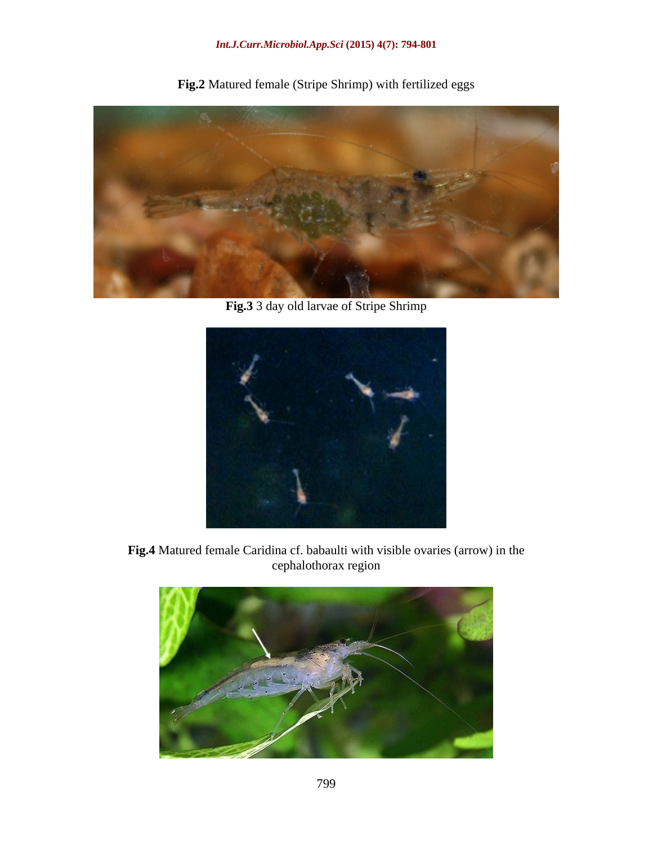**Fig.2** Matured female (Stripe Shrimp) with fertilized eggs



**Fig.3** 3 day old larvae of Stripe Shrimp



**Fig.4** Matured female Caridina cf. babaulti with visible ovaries (arrow) in the cephalothorax region

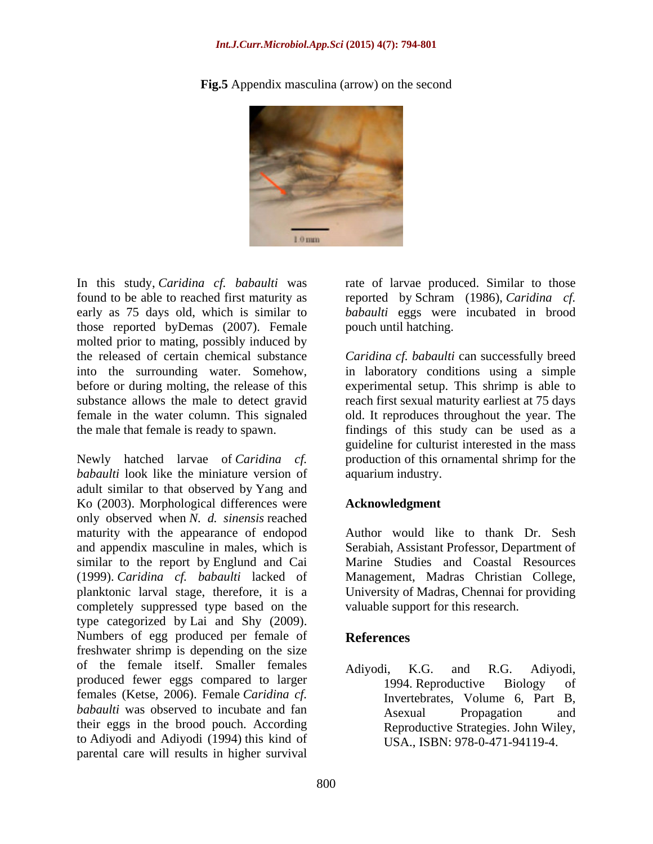#### *Int.J.Curr.Microbiol.App.Sci* **(2015) 4(7): 794-801**



**Fig.5** Appendix masculina (arrow) on the second

In this study, *Caridina cf. babaulti* was found to be able to reached first maturity as reported by Schram (1986), *Caridina cf.* early as 75 days old, which is similar to *babaulti* eggs were incubated in brood those reported byDemas (2007). Female molted prior to mating, possibly induced by the released of certain chemical substance *Caridina cf. babaulti* can successfully breed into the surrounding water. Somehow, in laboratory conditions using a simple before or during molting, the release of this experimental setup. This shrimp is able to substance allows the male to detect gravid reach first sexual maturity earliest at 75 days female in the water column. This signaled old. It reproduces throughout the year. The the male that female is ready to spawn. findings of this study can be used as a

Newly hatched larvae of *Caridina cf*. production of this ornamental shrimp for the *babaulti* look like the miniature version of adult similar to that observed by Yang and Ko (2003). Morphological differences were **Acknowledgment** only observed when *N. d. sinensis* reached maturity with the appearance of endopod and appendix masculine in males, which is similar to the report by Englund and Cai (1999). *Caridina cf. babaulti* lacked of planktonic larval stage, therefore, it is a University of Madras, Chennai for providing completely suppressed type based on the type categorized by Lai and Shy (2009).<br>Numbers of egg produced per female of **References** freshwater shrimp is depending on the size of the female itself. Smaller females Adiyodi, K.G. and R.G. Adiyodi, produced fewer eggs compared to larger 1994. Reproductive Biology of females (Ketse, 2006). Female *Caridina cf. babaulti* was observed to incubate and fan **Asexual Propagation** and their eggs in the brood pouch. According to Adiyodi and Adiyodi (1994) this kind of parental care will results in higher survival

rate of larvae produced. Similar to those pouch until hatching.

guideline for culturist interested in the mass aquarium industry.

#### **Acknowledgment**

Author would like to thank Dr. Sesh Serabiah, Assistant Professor, Department of Marine Studies and Coastal Resources Management, Madras Christian College, valuable support for this research.

#### **References**

Adiyodi, K.G. and R.G. Adiyodi, 1994. Reproductive Biology of Invertebrates, Volume 6, Part B, Asexual Propagation and Reproductive Strategies. John Wiley, USA., ISBN: 978-0-471-94119-4.